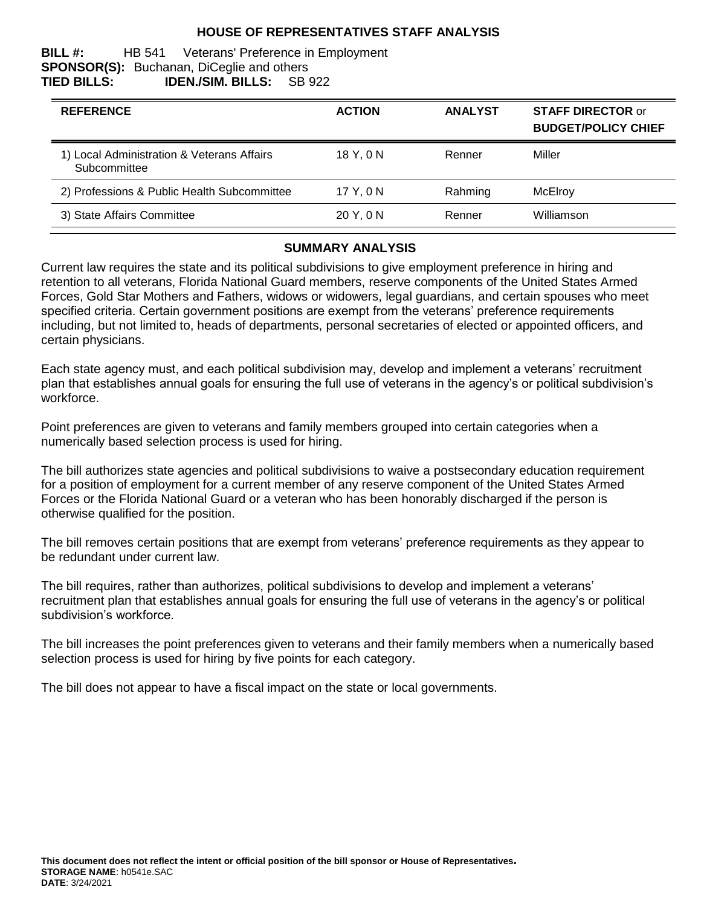### **HOUSE OF REPRESENTATIVES STAFF ANALYSIS**

#### **BILL #:** HB 541 Veterans' Preference in Employment **SPONSOR(S):** Buchanan, DiCeglie and others **TIED BILLS: IDEN./SIM. BILLS:** SB 922

| <b>REFERENCE</b>                                           | <b>ACTION</b> | <b>ANALYST</b> | <b>STAFF DIRECTOR or</b><br><b>BUDGET/POLICY CHIEF</b> |
|------------------------------------------------------------|---------------|----------------|--------------------------------------------------------|
| 1) Local Administration & Veterans Affairs<br>Subcommittee | 18 Y.ON       | Renner         | Miller                                                 |
| 2) Professions & Public Health Subcommittee                | 17 Y.O N      | Rahming        | McElroy                                                |
| 3) State Affairs Committee                                 | 20 Y, 0 N     | Renner         | Williamson                                             |

## **SUMMARY ANALYSIS**

Current law requires the state and its political subdivisions to give employment preference in hiring and retention to all veterans, Florida National Guard members, reserve components of the United States Armed Forces, Gold Star Mothers and Fathers, widows or widowers, legal guardians, and certain spouses who meet specified criteria. Certain government positions are exempt from the veterans' preference requirements including, but not limited to, heads of departments, personal secretaries of elected or appointed officers, and certain physicians.

Each state agency must, and each political subdivision may, develop and implement a veterans' recruitment plan that establishes annual goals for ensuring the full use of veterans in the agency's or political subdivision's workforce.

Point preferences are given to veterans and family members grouped into certain categories when a numerically based selection process is used for hiring.

The bill authorizes state agencies and political subdivisions to waive a postsecondary education requirement for a position of employment for a current member of any reserve component of the United States Armed Forces or the Florida National Guard or a veteran who has been honorably discharged if the person is otherwise qualified for the position.

The bill removes certain positions that are exempt from veterans' preference requirements as they appear to be redundant under current law.

The bill requires, rather than authorizes, political subdivisions to develop and implement a veterans' recruitment plan that establishes annual goals for ensuring the full use of veterans in the agency's or political subdivision's workforce.

The bill increases the point preferences given to veterans and their family members when a numerically based selection process is used for hiring by five points for each category.

The bill does not appear to have a fiscal impact on the state or local governments.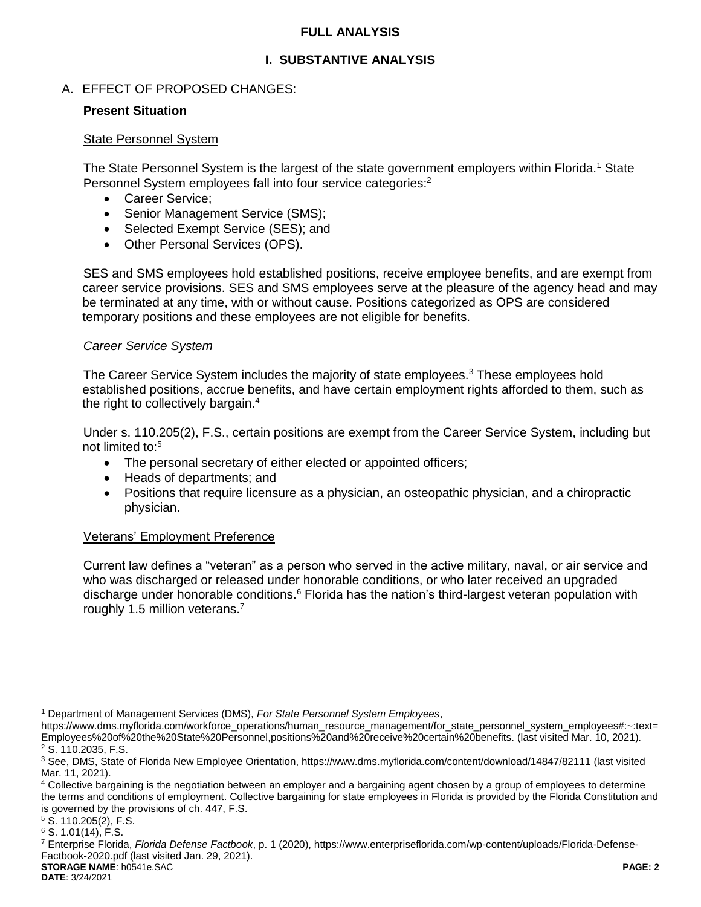## **FULL ANALYSIS**

# **I. SUBSTANTIVE ANALYSIS**

## A. EFFECT OF PROPOSED CHANGES:

## **Present Situation**

#### State Personnel System

The State Personnel System is the largest of the state government employers within Florida.<sup>1</sup> State Personnel System employees fall into four service categories:<sup>2</sup>

- Career Service;
- Senior Management Service (SMS);
- Selected Exempt Service (SES); and
- [Other Personal Services](http://www.dms.myflorida.com/workforce_operations/human_resource_management/for_other_personal_services_employment_ops) (OPS).

SES and SMS employees hold established positions, receive employee benefits, and are exempt from career service provisions. SES and SMS employees serve at the pleasure of the agency head and may be terminated at any time, with or without cause. Positions categorized as OPS are considered temporary positions and these employees are not eligible for benefits.

## *Career Service System*

The Career Service System includes the majority of state employees.<sup>3</sup> These employees hold established positions, accrue benefits, and have certain employment rights afforded to them, such as the right to collectively bargain.<sup>4</sup>

Under s. 110.205(2), F.S., certain positions are exempt from the Career Service System, including but not limited to:<sup>5</sup>

- The personal secretary of either elected or appointed officers;
- Heads of departments; and
- Positions that require licensure as a physician, an osteopathic physician, and a chiropractic physician.

## Veterans' Employment Preference

Current law defines a "veteran" as a person who served in the active military, naval, or air service and who was discharged or released under honorable conditions, or who later received an upgraded discharge under honorable conditions.<sup>6</sup> Florida has the nation's third-largest veteran population with roughly 1.5 million veterans.<sup>7</sup>

 $\overline{a}$ 

**DATE**: 3/24/2021

<sup>1</sup> Department of Management Services (DMS), *For State Personnel System Employees*,

https://www.dms.myflorida.com/workforce\_operations/human\_resource\_management/for\_state\_personnel\_system\_employees#:~:text= Employees%20of%20the%20State%20Personnel,positions%20and%20receive%20certain%20benefits. (last visited Mar. 10, 2021). <sup>2</sup> S. 110.2035, F.S.

<sup>3</sup> See, DMS, State of Florida New Employee Orientation, https://www.dms.myflorida.com/content/download/14847/82111 (last visited Mar. 11, 2021).

<sup>4</sup> Collective bargaining is the negotiation between an employer and a bargaining agent chosen by a group of employees to determine the terms and conditions of employment. Collective bargaining for state employees in Florida is provided by the Florida Constitution and is governed by the provisions of ch. 447, F.S.

<sup>5</sup> S. 110.205(2), F.S.

 $6$  S. 1.01(14), F.S.

**STORAGE NAME**: h0541e.SAC **PAGE: 2** <sup>7</sup> Enterprise Florida, *Florida Defense Factbook*, p. 1 (2020), https://www.enterpriseflorida.com/wp-content/uploads/Florida-Defense-Factbook-2020.pdf (last visited Jan. 29, 2021).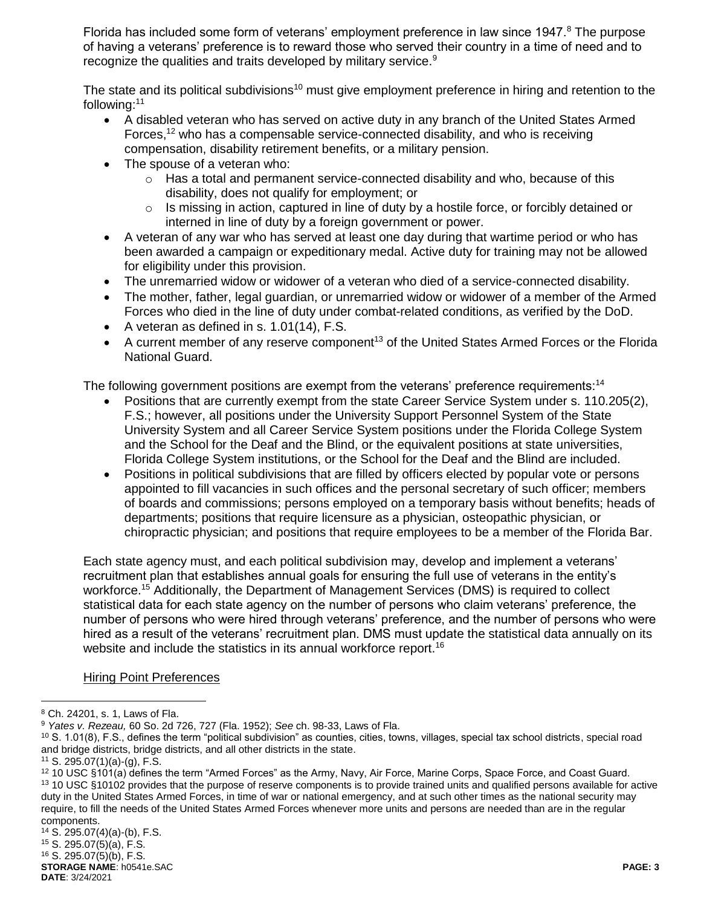Florida has included some form of veterans' employment preference in law since 1947.<sup>8</sup> The purpose of having a veterans' preference is to reward those who served their country in a time of need and to recognize the qualities and traits developed by military service.<sup>9</sup>

The state and its political subdivisions<sup>10</sup> must give employment preference in hiring and retention to the following:<sup>11</sup>

- A disabled veteran who has served on active duty in any branch of the United States Armed Forces,<sup>12</sup> who has a compensable service-connected disability, and who is receiving compensation, disability retirement benefits, or a military pension.
- The spouse of a veteran who:
	- $\circ$  Has a total and permanent service-connected disability and who, because of this disability, does not qualify for employment; or
	- $\circ$  Is missing in action, captured in line of duty by a hostile force, or forcibly detained or interned in line of duty by a foreign government or power.
- A veteran of any war who has served at least one day during that wartime period or who has been awarded a campaign or expeditionary medal. Active duty for training may not be allowed for eligibility under this provision.
- The unremarried widow or widower of a veteran who died of a service-connected disability.
- The mother, father, legal guardian, or unremarried widow or widower of a member of the Armed Forces who died in the line of duty under combat-related conditions, as verified by the DoD.
- A veteran as defined in s.  $1.01(14)$ , F.S.
- A current member of any reserve component<sup>13</sup> of the United States Armed Forces or the Florida National Guard.

The following government positions are exempt from the veterans' preference requirements:<sup>14</sup>

- Positions that are currently exempt from the state Career Service System under s. 110.205(2), F.S.; however, all positions under the University Support Personnel System of the State University System and all Career Service System positions under the Florida College System and the School for the Deaf and the Blind, or the equivalent positions at state universities, Florida College System institutions, or the School for the Deaf and the Blind are included.
- Positions in political subdivisions that are filled by officers elected by popular vote or persons appointed to fill vacancies in such offices and the personal secretary of such officer; members of boards and commissions; persons employed on a temporary basis without benefits; heads of departments; positions that require licensure as a physician, osteopathic physician, or chiropractic physician; and positions that require employees to be a member of the Florida Bar.

Each state agency must, and each political subdivision may, develop and implement a veterans' recruitment plan that establishes annual goals for ensuring the full use of veterans in the entity's workforce.<sup>15</sup> Additionally, the Department of Management Services (DMS) is required to collect statistical data for each state agency on the number of persons who claim veterans' preference, the number of persons who were hired through veterans' preference, and the number of persons who were hired as a result of the veterans' recruitment plan. DMS must update the statistical data annually on its website and include the statistics in its annual workforce report.<sup>16</sup>

Hiring Point Preferences

 $\overline{a}$ 

**STORAGE NAME**: h0541e.SAC **PAGE: 3 DATE**: 3/24/2021  $14$  S. 295.07(4)(a)-(b), F.S. <sup>15</sup> S. 295.07(5)(a), F.S. <sup>16</sup> S. 295.07(5)(b), F.S.

<sup>8</sup> Ch. 24201, s. 1, Laws of Fla.

<sup>9</sup> *Yates v. Rezeau,* 60 So. 2d 726, 727 (Fla. 1952); *See* ch. 98-33, Laws of Fla.

 $10$  S. 1.01(8), F.S., defines the term "political subdivision" as counties, cities, towns, villages, special tax school districts, special road and bridge districts, bridge districts, and all other districts in the state.

 $11$  S. 295.07(1)(a)-(g), F.S.

<sup>12</sup> 10 USC §101(a) defines the term "Armed Forces" as the Army, Navy, Air Force, Marine Corps, Space Force, and Coast Guard. <sup>13</sup> 10 USC §10102 provides that the purpose of reserve components is to provide trained units and qualified persons available for active duty in the United States Armed Forces, in time of war or national emergency, and at such other times as the national security may require, to fill the needs of the United States Armed Forces whenever more units and persons are needed than are in the regular

components.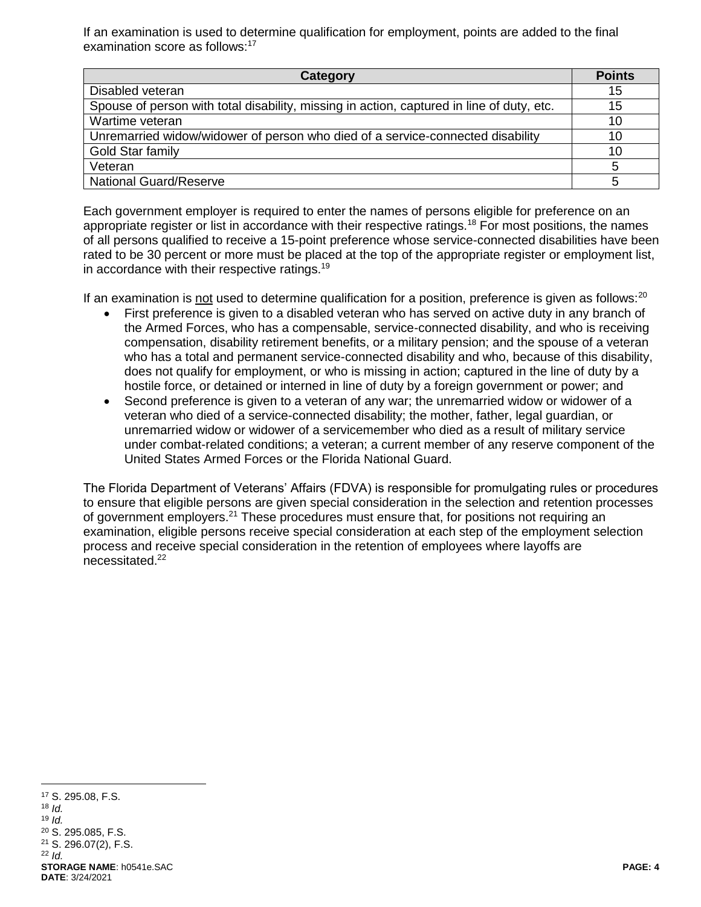If an examination is used to determine qualification for employment, points are added to the final examination score as follows:<sup>17</sup>

| Category                                                                                  | <b>Points</b> |
|-------------------------------------------------------------------------------------------|---------------|
| Disabled veteran                                                                          | 15            |
| Spouse of person with total disability, missing in action, captured in line of duty, etc. | 15            |
| Wartime veteran                                                                           | 10            |
| Unremarried widow/widower of person who died of a service-connected disability            | 10            |
| Gold Star family                                                                          | 10            |
| Veteran                                                                                   |               |
| <b>National Guard/Reserve</b>                                                             |               |

Each government employer is required to enter the names of persons eligible for preference on an appropriate register or list in accordance with their respective ratings.<sup>18</sup> For most positions, the names of all persons qualified to receive a 15-point preference whose service-connected disabilities have been rated to be 30 percent or more must be placed at the top of the appropriate register or employment list, in accordance with their respective ratings.<sup>19</sup>

If an examination is not used to determine qualification for a position, preference is given as follows: $^{20}$ 

- First preference is given to a disabled veteran who has served on active duty in any branch of the Armed Forces, who has a compensable, service-connected disability, and who is receiving compensation, disability retirement benefits, or a military pension; and the spouse of a veteran who has a total and permanent service-connected disability and who, because of this disability, does not qualify for employment, or who is missing in action; captured in the line of duty by a hostile force, or detained or interned in line of duty by a foreign government or power; and
- Second preference is given to a veteran of any war; the unremarried widow or widower of a veteran who died of a service-connected disability; the mother, father, legal guardian, or unremarried widow or widower of a servicemember who died as a result of military service under combat-related conditions; a veteran; a current member of any reserve component of the United States Armed Forces or the Florida National Guard.

The Florida Department of Veterans' Affairs (FDVA) is responsible for promulgating rules or procedures to ensure that eligible persons are given special consideration in the selection and retention processes of government employers.<sup>21</sup> These procedures must ensure that, for positions not requiring an examination, eligible persons receive special consideration at each step of the employment selection process and receive special consideration in the retention of employees where layoffs are necessitated.<sup>22</sup>

 $\overline{a}$ 

**STORAGE NAME**: h0541e.SAC **PAGE: 4 DATE**: 3/24/2021 <sup>17</sup> S. 295.08, F.S. <sup>18</sup> *Id.* <sup>19</sup> *Id.* <sup>20</sup> S. 295.085, F.S. <sup>21</sup> S. 296.07(2), F.S. <sup>22</sup> *Id.*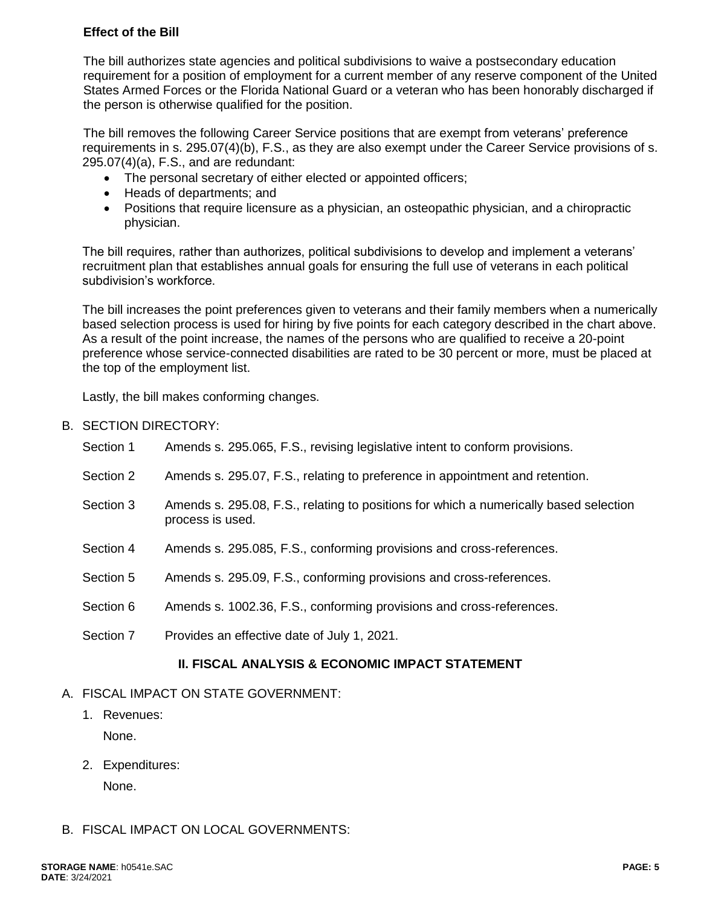# **Effect of the Bill**

The bill authorizes state agencies and political subdivisions to waive a postsecondary education requirement for a position of employment for a current member of any reserve component of the United States Armed Forces or the Florida National Guard or a veteran who has been honorably discharged if the person is otherwise qualified for the position.

The bill removes the following Career Service positions that are exempt from veterans' preference requirements in s. 295.07(4)(b), F.S., as they are also exempt under the Career Service provisions of s. 295.07(4)(a), F.S., and are redundant:

- The personal secretary of either elected or appointed officers:
- Heads of departments; and
- Positions that require licensure as a physician, an osteopathic physician, and a chiropractic physician.

The bill requires, rather than authorizes, political subdivisions to develop and implement a veterans' recruitment plan that establishes annual goals for ensuring the full use of veterans in each political subdivision's workforce.

The bill increases the point preferences given to veterans and their family members when a numerically based selection process is used for hiring by five points for each category described in the chart above. As a result of the point increase, the names of the persons who are qualified to receive a 20-point preference whose service-connected disabilities are rated to be 30 percent or more, must be placed at the top of the employment list.

Lastly, the bill makes conforming changes.

B. SECTION DIRECTORY:

| <b>II. FISCAL ANALYSIS &amp; ECONOMIC IMPACT STATEMENT</b> |                                                                                                           |  |
|------------------------------------------------------------|-----------------------------------------------------------------------------------------------------------|--|
| Section 7                                                  | Provides an effective date of July 1, 2021.                                                               |  |
| Section 6                                                  | Amends s. 1002.36, F.S., conforming provisions and cross-references.                                      |  |
| Section 5                                                  | Amends s. 295.09, F.S., conforming provisions and cross-references.                                       |  |
| Section 4                                                  | Amends s. 295.085, F.S., conforming provisions and cross-references.                                      |  |
| Section 3                                                  | Amends s. 295.08, F.S., relating to positions for which a numerically based selection<br>process is used. |  |
| Section 2                                                  | Amends s. 295.07, F.S., relating to preference in appointment and retention.                              |  |
| Section 1                                                  | Amends s. 295.065, F.S., revising legislative intent to conform provisions.                               |  |

- A. FISCAL IMPACT ON STATE GOVERNMENT:
	- 1. Revenues:

None.

2. Expenditures:

None.

B. FISCAL IMPACT ON LOCAL GOVERNMENTS: